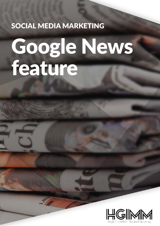# SOCIAL MEDIA MARKETING

# Google News feature

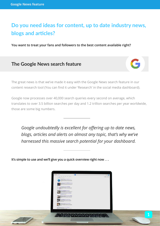## **Do you need ideas for content, up to date industry news, blogs and articles?**

**You want to treat your fans and followers to the best content available right?**

#### **The Google News search feature**



The great news is that we've made it easy with the Google News search feature in our content research tool (You can find it under 'Research' in the social media dashboard).

Google now processes over 40,000 search queries every second on average, which translates to over 3.5 billion searches per day and 1.2 trillion searches per year worldwide, those are some big numbers.

*Google undoubtedly is excellent for offering up to date news, blogs, articles and alerts on almost any topic, that's why we've harnessed this massive search potential for your dashboard.* 

**It's simple to use and we'll give you a quick overview right now . . .**

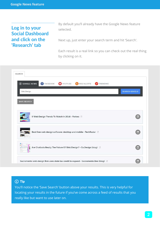#### **Log in to your Social Dashboard and click on the 'Research' tab**

By default you'll already have the Google News feature selected.

Next up, just enter your search term and hit 'Search'.

Each result is a real link so you can check out the real thing by clicking on it.

| <b>SEARCH</b><br>8 GOOGLE NEWS<br><b>B</b> FACEBOOK<br>VOUTUBE<br>RSS/ALERTS<br>TRENDING<br>$\boldsymbol{\lambda}$ |                                       |
|--------------------------------------------------------------------------------------------------------------------|---------------------------------------|
| Web Design                                                                                                         | <b>SEARCH GOOGLE</b>                  |
| <b>SAVE SEARCH</b>                                                                                                 |                                       |
| 9 Web Design Trends To Watch In 2016 - Forbes                                                                      | $\begin{array}{c} \hline \end{array}$ |
| Best free web design software: desktop and mobile - TechRadar                                                      | O                                     |
| Are Chatbots Really The Future Of Web Design? - Co.Design (blog) [3]                                               | iő.                                   |
| Sacramento web design firm uses state tax credit to expand - Sacramento Bee (blog) [1]                             |                                       |

#### (i) Tip

You'll notice the 'Save Search' button above your results. This is very helpful for locating your results in the future if you've come across a feed of results that you really like but want to use later on.